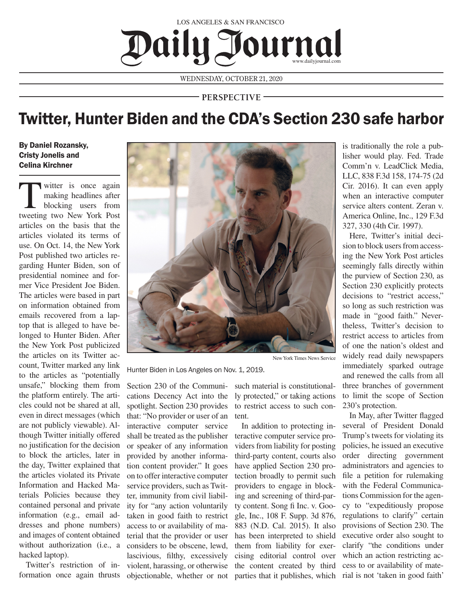## Daily Journal LOS ANGELES & SAN FRANCISCO

WEDNESDAY, OCTOBER 21, 2020

**PERSPECTIVE**

## Twitter, Hunter Biden and the CDA's Section 230 safe harbor

By Daniel Rozansky, Cristy Jonelis and Celina Kirchner

witter is once again<br>
making headlines after<br>
blocking users from making headlines after tweeting two New York Post articles on the basis that the articles violated its terms of use. On Oct. 14, the New York Post published two articles regarding Hunter Biden, son of presidential nominee and former Vice President Joe Biden. The articles were based in part on information obtained from emails recovered from a laptop that is alleged to have belonged to Hunter Biden. After the New York Post publicized the articles on its Twitter account, Twitter marked any link to the articles as "potentially unsafe," blocking them from the platform entirely. The articles could not be shared at all, even in direct messages (which are not publicly viewable). Although Twitter initially offered no justification for the decision to block the articles, later in the day, Twitter explained that the articles violated its Private Information and Hacked Materials Policies because they contained personal and private information (e.g., email addresses and phone numbers) and images of content obtained without authorization (i.e., a hacked laptop).

Twitter's restriction of information once again thrusts



New York Times News Service

Hunter Biden in Los Angeles on Nov. 1, 2019.

Section 230 of the Communications Decency Act into the spotlight. Section 230 provides that: "No provider or user of an interactive computer service shall be treated as the publisher or speaker of any information provided by another information content provider." It goes on to offer interactive computer service providers, such as Twitter, immunity from civil liability for "any action voluntarily taken in good faith to restrict access to or availability of material that the provider or user considers to be obscene, lewd, lascivious, filthy, excessively violent, harassing, or otherwise objectionable, whether or not such material is constitutionally protected," or taking actions to restrict access to such content.

In addition to protecting interactive computer service providers from liability for posting third-party content, courts also have applied Section 230 protection broadly to permit such providers to engage in blocking and screening of third-party content. Song fi Inc. v. Google, Inc., 108 F. Supp. 3d 876, 883 (N.D. Cal. 2015). It also has been interpreted to shield them from liability for exercising editorial control over the content created by third

is traditionally the role a publisher would play. Fed. Trade Comm'n v. LeadClick Media, LLC, 838 F.3d 158, 174-75 (2d Cir. 2016). It can even apply when an interactive computer service alters content. Zeran v. America Online, Inc., 129 F.3d 327, 330 (4th Cir. 1997).

Here, Twitter's initial decision to block users from accessing the New York Post articles seemingly falls directly within the purview of Section 230, as Section 230 explicitly protects decisions to "restrict access," so long as such restriction was made in "good faith." Nevertheless, Twitter's decision to restrict access to articles from of one the nation's oldest and widely read daily newspapers immediately sparked outrage and renewed the calls from all three branches of government to limit the scope of Section 230's protection.

In May, after Twitter flagged several of President Donald Trump's tweets for violating its policies, he issued an executive order directing government administrators and agencies to file a petition for rulemaking with the Federal Communications Commission for the agency to "expeditiously propose regulations to clarify" certain provisions of Section 230. The executive order also sought to clarify "the conditions under which an action restricting access to or availability of mateparties that it publishes, which rial is not 'taken in good faith'